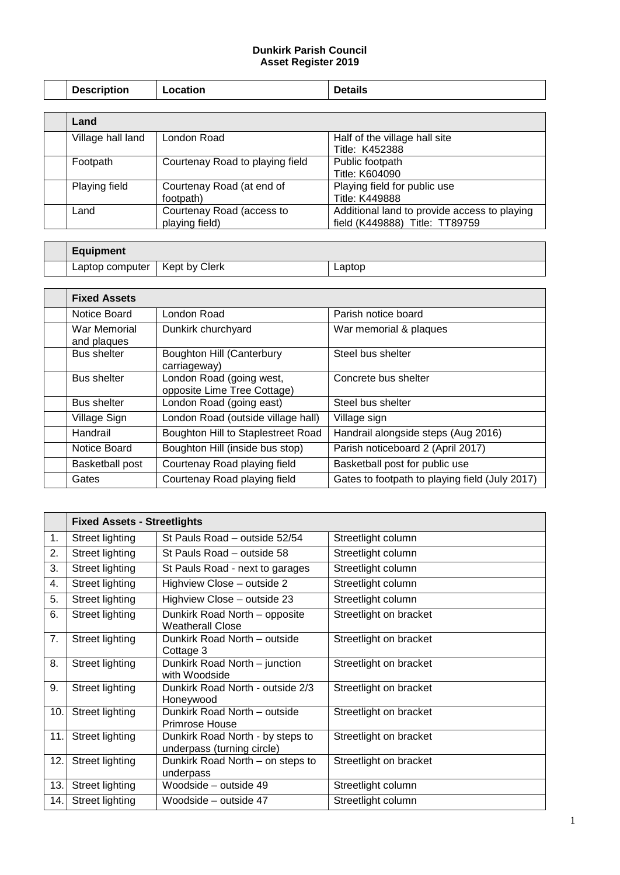## **Dunkirk Parish Council Asset Register 2019**

| <b>Description</b> | Location                        | <b>Details</b>                               |
|--------------------|---------------------------------|----------------------------------------------|
|                    |                                 |                                              |
| Land               |                                 |                                              |
| Village hall land  | London Road                     | Half of the village hall site                |
|                    |                                 | Title: K452388                               |
| Footpath           | Courtenay Road to playing field | Public footpath                              |
|                    |                                 | Title: K604090                               |
| Playing field      | Courtenay Road (at end of       | Playing field for public use                 |
|                    | footpath)                       | Title: K449888                               |
| Land               | Courtenay Road (access to       | Additional land to provide access to playing |
|                    | playing field)                  | field (K449888) Title: TT89759               |

| <b>Equipment</b> |               |        |
|------------------|---------------|--------|
| Laptop computer  | Kept by Clerk | ∟aptop |

 $\mathsf{r}$ 

┯

| <b>Fixed Assets</b>         |                                                         |                                                |
|-----------------------------|---------------------------------------------------------|------------------------------------------------|
| Notice Board                | London Road                                             | Parish notice board                            |
| War Memorial<br>and plaques | Dunkirk churchyard                                      | War memorial & plaques                         |
| <b>Bus shelter</b>          | <b>Boughton Hill (Canterbury</b><br>carriageway)        | Steel bus shelter                              |
| <b>Bus shelter</b>          | London Road (going west,<br>opposite Lime Tree Cottage) | Concrete bus shelter                           |
| <b>Bus shelter</b>          | London Road (going east)                                | Steel bus shelter                              |
| Village Sign                | London Road (outside village hall)                      | Village sign                                   |
| Handrail                    | Boughton Hill to Staplestreet Road                      | Handrail alongside steps (Aug 2016)            |
| Notice Board                | Boughton Hill (inside bus stop)                         | Parish noticeboard 2 (April 2017)              |
| <b>Basketball post</b>      | Courtenay Road playing field                            | Basketball post for public use                 |
| Gates                       | Courtenay Road playing field                            | Gates to footpath to playing field (July 2017) |

|     | <b>Fixed Assets - Streetlights</b> |                                                                |                        |
|-----|------------------------------------|----------------------------------------------------------------|------------------------|
| 1.  | Street lighting                    | St Pauls Road – outside 52/54                                  | Streetlight column     |
| 2.  | Street lighting                    | St Pauls Road – outside 58                                     | Streetlight column     |
| 3.  | Street lighting                    | St Pauls Road - next to garages                                | Streetlight column     |
| 4.  | Street lighting                    | Highview Close – outside 2                                     | Streetlight column     |
| 5.  | Street lighting                    | Highview Close - outside 23                                    | Streetlight column     |
| 6.  | Street lighting                    | Dunkirk Road North - opposite<br><b>Weatherall Close</b>       | Streetlight on bracket |
| 7.  | Street lighting                    | Dunkirk Road North - outside<br>Cottage 3                      | Streetlight on bracket |
| 8.  | Street lighting                    | Dunkirk Road North - junction<br>with Woodside                 | Streetlight on bracket |
| 9.  | Street lighting                    | Dunkirk Road North - outside 2/3<br>Honeywood                  | Streetlight on bracket |
| 10. | Street lighting                    | Dunkirk Road North - outside<br>Primrose House                 | Streetlight on bracket |
| 11. | Street lighting                    | Dunkirk Road North - by steps to<br>underpass (turning circle) | Streetlight on bracket |
| 12. | Street lighting                    | Dunkirk Road North – on steps to<br>underpass                  | Streetlight on bracket |
| 13. | Street lighting                    | Woodside – outside 49                                          | Streetlight column     |
| 14. | Street lighting                    | Woodside - outside 47                                          | Streetlight column     |